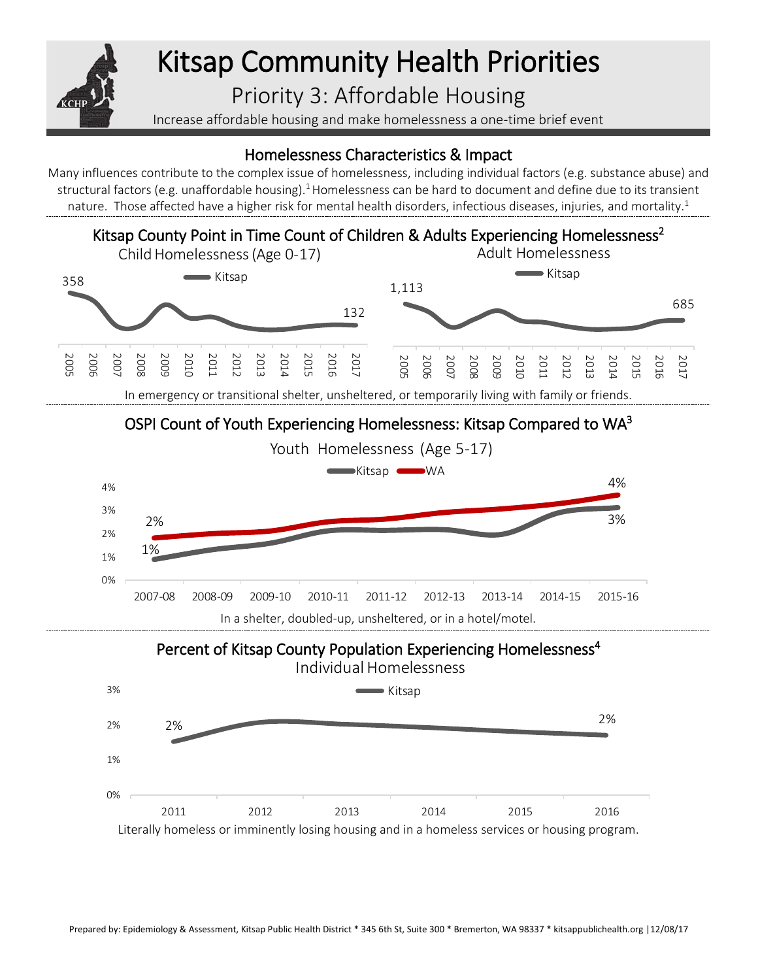

# Kitsap Community Health Priorities

# Priority 3: Affordable Housing

Increase affordable housing and make homelessness a one-time brief event

## Homelessness Characteristics & Impact

Many influences contribute to the complex issue of homelessness, including individual factors (e.g. substance abuse) and structural factors (e.g. unaffordable housing).<sup>1</sup> Homelessness can be hard to document and define due to its transient nature. Those affected have a higher risk for mental health disorders, infectious diseases, injuries, and mortality.<sup>1</sup>